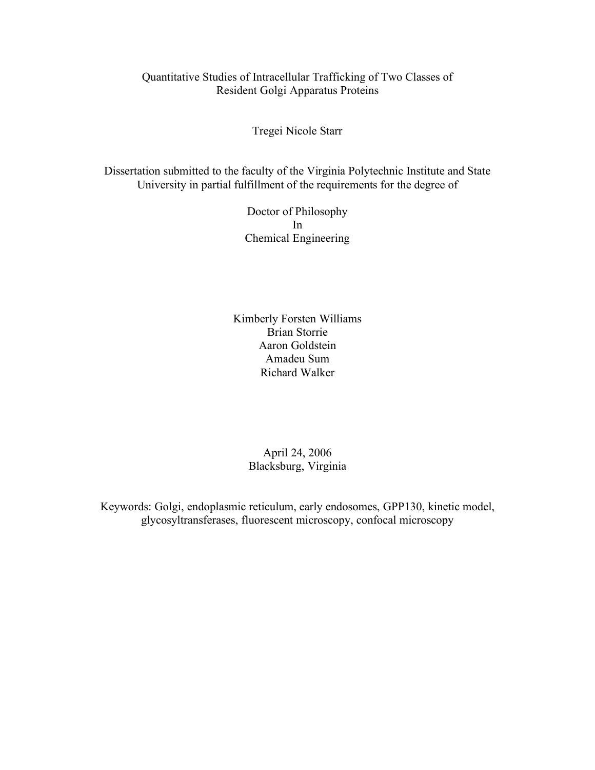#### Quantitative Studies of Intracellular Trafficking of Two Classes of Resident Golgi Apparatus Proteins

Tregei Nicole Starr

Dissertation submitted to the faculty of the Virginia Polytechnic Institute and State University in partial fulfillment of the requirements for the degree of

> Doctor of Philosophy In Chemical Engineering

Kimberly Forsten Williams Brian Storrie Aaron Goldstein Amadeu Sum Richard Walker

> April 24, 2006 Blacksburg, Virginia

Keywords: Golgi, endoplasmic reticulum, early endosomes, GPP130, kinetic model, glycosyltransferases, fluorescent microscopy, confocal microscopy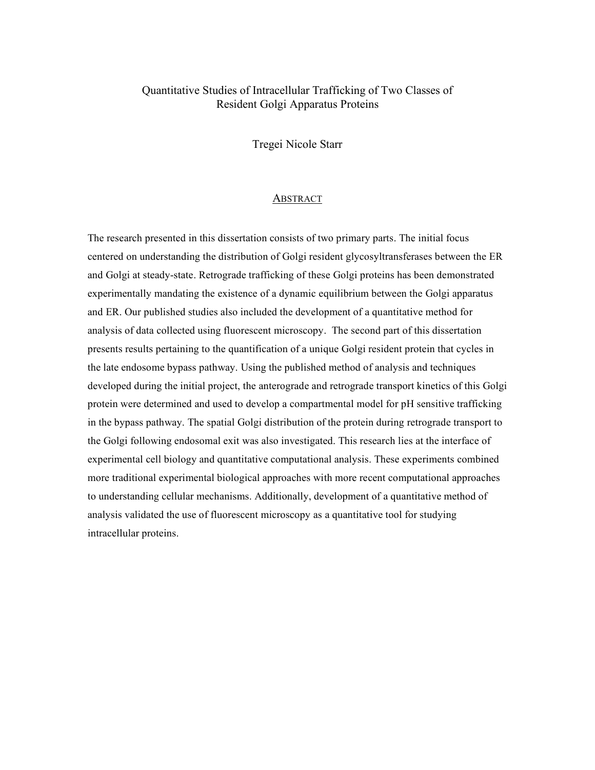#### Quantitative Studies of Intracellular Trafficking of Two Classes of Resident Golgi Apparatus Proteins

Tregei Nicole Starr

#### ABSTRACT

The research presented in this dissertation consists of two primary parts. The initial focus centered on understanding the distribution of Golgi resident glycosyltransferases between the ER and Golgi at steady-state. Retrograde trafficking of these Golgi proteins has been demonstrated experimentally mandating the existence of a dynamic equilibrium between the Golgi apparatus and ER. Our published studies also included the development of a quantitative method for analysis of data collected using fluorescent microscopy. The second part of this dissertation presents results pertaining to the quantification of a unique Golgi resident protein that cycles in the late endosome bypass pathway. Using the published method of analysis and techniques developed during the initial project, the anterograde and retrograde transport kinetics of this Golgi protein were determined and used to develop a compartmental model for pH sensitive trafficking in the bypass pathway. The spatial Golgi distribution of the protein during retrograde transport to the Golgi following endosomal exit was also investigated. This research lies at the interface of experimental cell biology and quantitative computational analysis. These experiments combined more traditional experimental biological approaches with more recent computational approaches to understanding cellular mechanisms. Additionally, development of a quantitative method of analysis validated the use of fluorescent microscopy as a quantitative tool for studying intracellular proteins.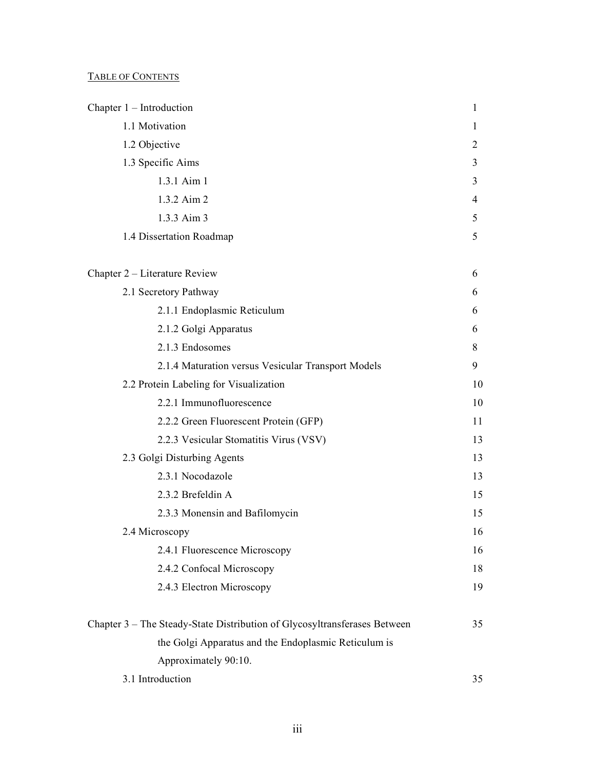#### TABLE OF CONTENTS

| Chapter $1$ – Introduction                                                | 1  |
|---------------------------------------------------------------------------|----|
| 1.1 Motivation                                                            | 1  |
| 1.2 Objective                                                             | 2  |
| 1.3 Specific Aims                                                         | 3  |
| 1.3.1 Aim 1                                                               | 3  |
| 1.3.2 Aim 2                                                               | 4  |
| 1.3.3 Aim 3                                                               | 5  |
| 1.4 Dissertation Roadmap                                                  | 5  |
| Chapter 2 – Literature Review                                             | 6  |
| 2.1 Secretory Pathway                                                     | 6  |
| 2.1.1 Endoplasmic Reticulum                                               | 6  |
| 2.1.2 Golgi Apparatus                                                     | 6  |
| 2.1.3 Endosomes                                                           | 8  |
| 2.1.4 Maturation versus Vesicular Transport Models                        | 9  |
| 2.2 Protein Labeling for Visualization                                    | 10 |
| 2.2.1 Immunofluorescence                                                  | 10 |
| 2.2.2 Green Fluorescent Protein (GFP)                                     | 11 |
| 2.2.3 Vesicular Stomatitis Virus (VSV)                                    | 13 |
| 2.3 Golgi Disturbing Agents                                               | 13 |
| 2.3.1 Nocodazole                                                          | 13 |
| 2.3.2 Brefeldin A                                                         | 15 |
| 2.3.3 Monensin and Bafilomycin                                            | 15 |
| 2.4 Microscopy                                                            | 16 |
| 2.4.1 Fluorescence Microscopy                                             | 16 |
| 2.4.2 Confocal Microscopy                                                 | 18 |
| 2.4.3 Electron Microscopy                                                 | 19 |
| Chapter 3 - The Steady-State Distribution of Glycosyltransferases Between | 35 |
| the Golgi Apparatus and the Endoplasmic Reticulum is                      |    |
| Approximately 90:10.                                                      |    |
| 3.1 Introduction                                                          | 35 |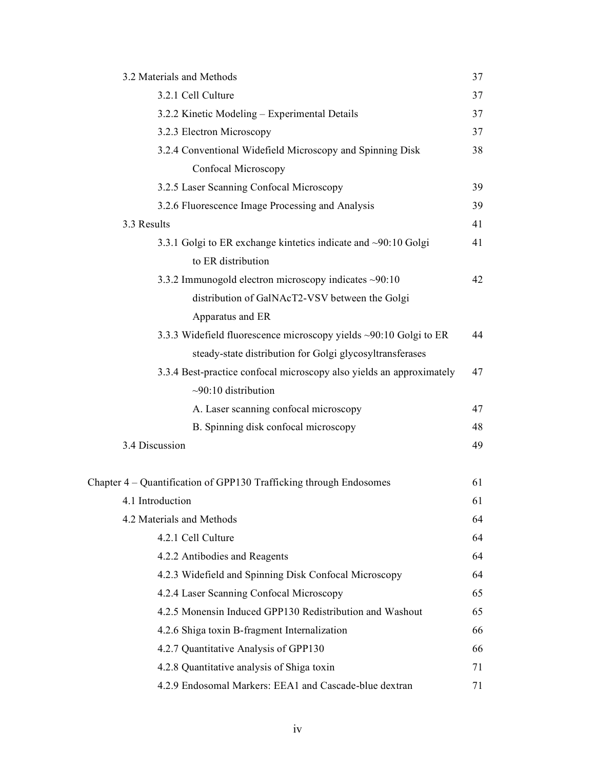| 3.2 Materials and Methods                                            | 37 |
|----------------------------------------------------------------------|----|
| 3.2.1 Cell Culture                                                   | 37 |
| 3.2.2 Kinetic Modeling - Experimental Details                        | 37 |
| 3.2.3 Electron Microscopy                                            | 37 |
| 3.2.4 Conventional Widefield Microscopy and Spinning Disk            | 38 |
| Confocal Microscopy                                                  |    |
| 3.2.5 Laser Scanning Confocal Microscopy                             | 39 |
| 3.2.6 Fluorescence Image Processing and Analysis                     | 39 |
| 3.3 Results                                                          | 41 |
| 3.3.1 Golgi to ER exchange kintetics indicate and ~90:10 Golgi       | 41 |
| to ER distribution                                                   |    |
| 3.3.2 Immunogold electron microscopy indicates ~90:10                | 42 |
| distribution of GalNAcT2-VSV between the Golgi                       |    |
| Apparatus and ER                                                     |    |
| 3.3.3 Widefield fluorescence microscopy yields ~90:10 Golgi to ER    | 44 |
| steady-state distribution for Golgi glycosyltransferases             |    |
| 3.3.4 Best-practice confocal microscopy also yields an approximately | 47 |
| $\sim$ 90:10 distribution                                            |    |
| A. Laser scanning confocal microscopy                                | 47 |
| B. Spinning disk confocal microscopy                                 | 48 |
| 3.4 Discussion                                                       | 49 |
|                                                                      |    |
| Chapter 4 - Quantification of GPP130 Trafficking through Endosomes   | 61 |
| 4.1 Introduction                                                     | 61 |
| 4.2 Materials and Methods                                            | 64 |
| 4.2.1 Cell Culture                                                   | 64 |
| 4.2.2 Antibodies and Reagents                                        | 64 |
| 4.2.3 Widefield and Spinning Disk Confocal Microscopy                | 64 |
| 4.2.4 Laser Scanning Confocal Microscopy                             | 65 |
| 4.2.5 Monensin Induced GPP130 Redistribution and Washout             | 65 |
| 4.2.6 Shiga toxin B-fragment Internalization                         | 66 |
| 4.2.7 Quantitative Analysis of GPP130                                | 66 |
| 4.2.8 Quantitative analysis of Shiga toxin                           | 71 |
| 4.2.9 Endosomal Markers: EEA1 and Cascade-blue dextran               | 71 |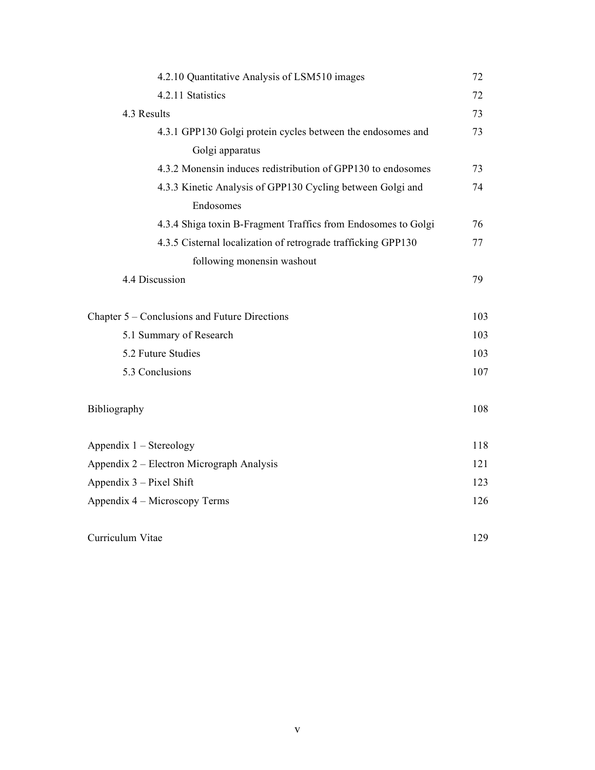| 4.2.10 Quantitative Analysis of LSM510 images                 | 72  |
|---------------------------------------------------------------|-----|
| 4.2.11 Statistics                                             | 72  |
| 4.3 Results                                                   | 73  |
| 4.3.1 GPP130 Golgi protein cycles between the endosomes and   | 73  |
| Golgi apparatus                                               |     |
| 4.3.2 Monensin induces redistribution of GPP130 to endosomes  | 73  |
| 4.3.3 Kinetic Analysis of GPP130 Cycling between Golgi and    | 74  |
| Endosomes                                                     |     |
| 4.3.4 Shiga toxin B-Fragment Traffics from Endosomes to Golgi | 76  |
| 4.3.5 Cisternal localization of retrograde trafficking GPP130 | 77  |
| following monensin washout                                    |     |
| 4.4 Discussion                                                | 79  |
| Chapter 5 – Conclusions and Future Directions                 | 103 |
| 5.1 Summary of Research                                       | 103 |
| 5.2 Future Studies                                            | 103 |
| 5.3 Conclusions                                               | 107 |
| Bibliography                                                  | 108 |
| Appendix $1 -$ Stereology                                     | 118 |
| Appendix 2 – Electron Micrograph Analysis                     | 121 |
| Appendix $3$ – Pixel Shift                                    | 123 |
| Appendix 4 – Microscopy Terms                                 | 126 |
| Curriculum Vitae                                              | 129 |
|                                                               |     |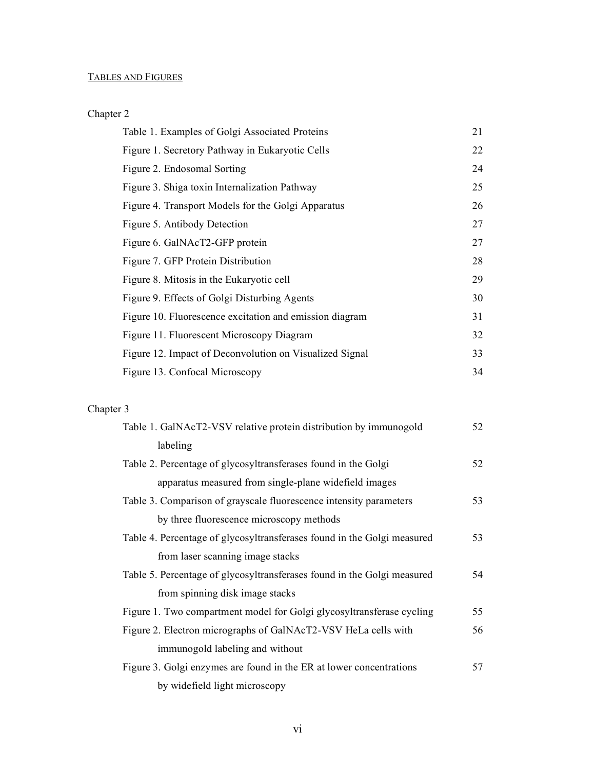# TABLES AND FIGURES

# Chapter 2

| Table 1. Examples of Golgi Associated Proteins          | 21 |
|---------------------------------------------------------|----|
| Figure 1. Secretory Pathway in Eukaryotic Cells         | 22 |
| Figure 2. Endosomal Sorting                             | 24 |
| Figure 3. Shiga toxin Internalization Pathway           | 25 |
| Figure 4. Transport Models for the Golgi Apparatus      | 26 |
| Figure 5. Antibody Detection                            | 27 |
| Figure 6. GalNAcT2-GFP protein                          | 27 |
| Figure 7. GFP Protein Distribution                      | 28 |
| Figure 8. Mitosis in the Eukaryotic cell                | 29 |
| Figure 9. Effects of Golgi Disturbing Agents            | 30 |
| Figure 10. Fluorescence excitation and emission diagram | 31 |
| Figure 11. Fluorescent Microscopy Diagram               | 32 |
| Figure 12. Impact of Deconvolution on Visualized Signal | 33 |
| Figure 13. Confocal Microscopy                          | 34 |

### Chapter 3

| Table 1. GalNAcT2-VSV relative protein distribution by immunogold       | 52 |
|-------------------------------------------------------------------------|----|
| labeling                                                                |    |
| Table 2. Percentage of glycosyltransferases found in the Golgi          | 52 |
| apparatus measured from single-plane widefield images                   |    |
| Table 3. Comparison of grayscale fluorescence intensity parameters      | 53 |
| by three fluorescence microscopy methods                                |    |
| Table 4. Percentage of glycosyltransferases found in the Golgi measured | 53 |
| from laser scanning image stacks                                        |    |
| Table 5. Percentage of glycosyltransferases found in the Golgi measured | 54 |
| from spinning disk image stacks                                         |    |
| Figure 1. Two compartment model for Golgi glycosyltransferase cycling   | 55 |
| Figure 2. Electron micrographs of GalNAcT2-VSV HeLa cells with          | 56 |
| immunogold labeling and without                                         |    |
| Figure 3. Golgi enzymes are found in the ER at lower concentrations     | 57 |
| by widefield light microscopy                                           |    |
|                                                                         |    |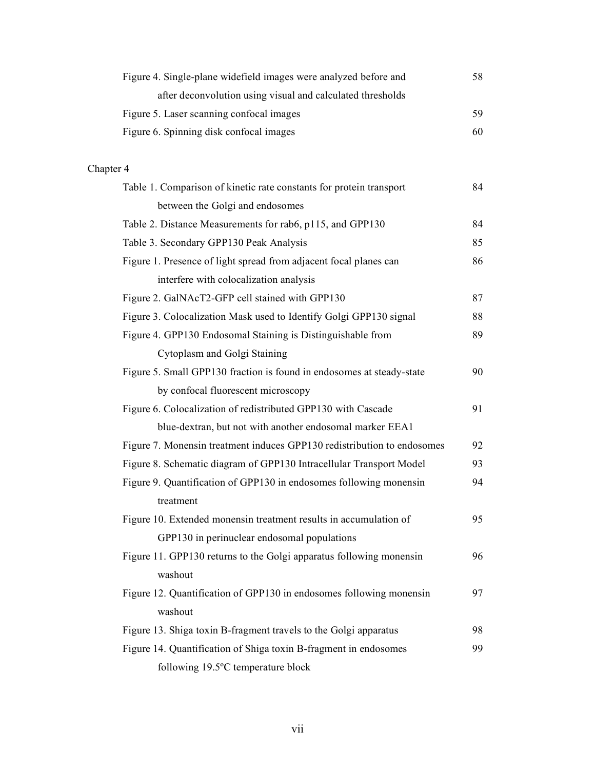| Figure 4. Single-plane widefield images were analyzed before and | 58. |
|------------------------------------------------------------------|-----|
| after deconvolution using visual and calculated thresholds       |     |
| Figure 5. Laser scanning confocal images                         | 59  |
| Figure 6. Spinning disk confocal images                          | 60  |

# Chapter 4

| Table 1. Comparison of kinetic rate constants for protein transport     | 84 |
|-------------------------------------------------------------------------|----|
| between the Golgi and endosomes                                         |    |
| Table 2. Distance Measurements for rab6, p115, and GPP130               | 84 |
| Table 3. Secondary GPP130 Peak Analysis                                 | 85 |
| Figure 1. Presence of light spread from adjacent focal planes can       | 86 |
| interfere with colocalization analysis                                  |    |
| Figure 2. GalNAcT2-GFP cell stained with GPP130                         | 87 |
| Figure 3. Colocalization Mask used to Identify Golgi GPP130 signal      | 88 |
| Figure 4. GPP130 Endosomal Staining is Distinguishable from             | 89 |
| Cytoplasm and Golgi Staining                                            |    |
| Figure 5. Small GPP130 fraction is found in endosomes at steady-state   | 90 |
| by confocal fluorescent microscopy                                      |    |
| Figure 6. Colocalization of redistributed GPP130 with Cascade           | 91 |
| blue-dextran, but not with another endosomal marker EEA1                |    |
| Figure 7. Monensin treatment induces GPP130 redistribution to endosomes | 92 |
| Figure 8. Schematic diagram of GPP130 Intracellular Transport Model     | 93 |
| Figure 9. Quantification of GPP130 in endosomes following monensin      | 94 |
| treatment                                                               |    |
| Figure 10. Extended monensin treatment results in accumulation of       | 95 |
| GPP130 in perinuclear endosomal populations                             |    |
| Figure 11. GPP130 returns to the Golgi apparatus following monensin     | 96 |
| washout                                                                 |    |
| Figure 12. Quantification of GPP130 in endosomes following monensin     | 97 |
| washout                                                                 |    |
| Figure 13. Shiga toxin B-fragment travels to the Golgi apparatus        | 98 |
| Figure 14. Quantification of Shiga toxin B-fragment in endosomes        | 99 |
| following 19.5°C temperature block                                      |    |